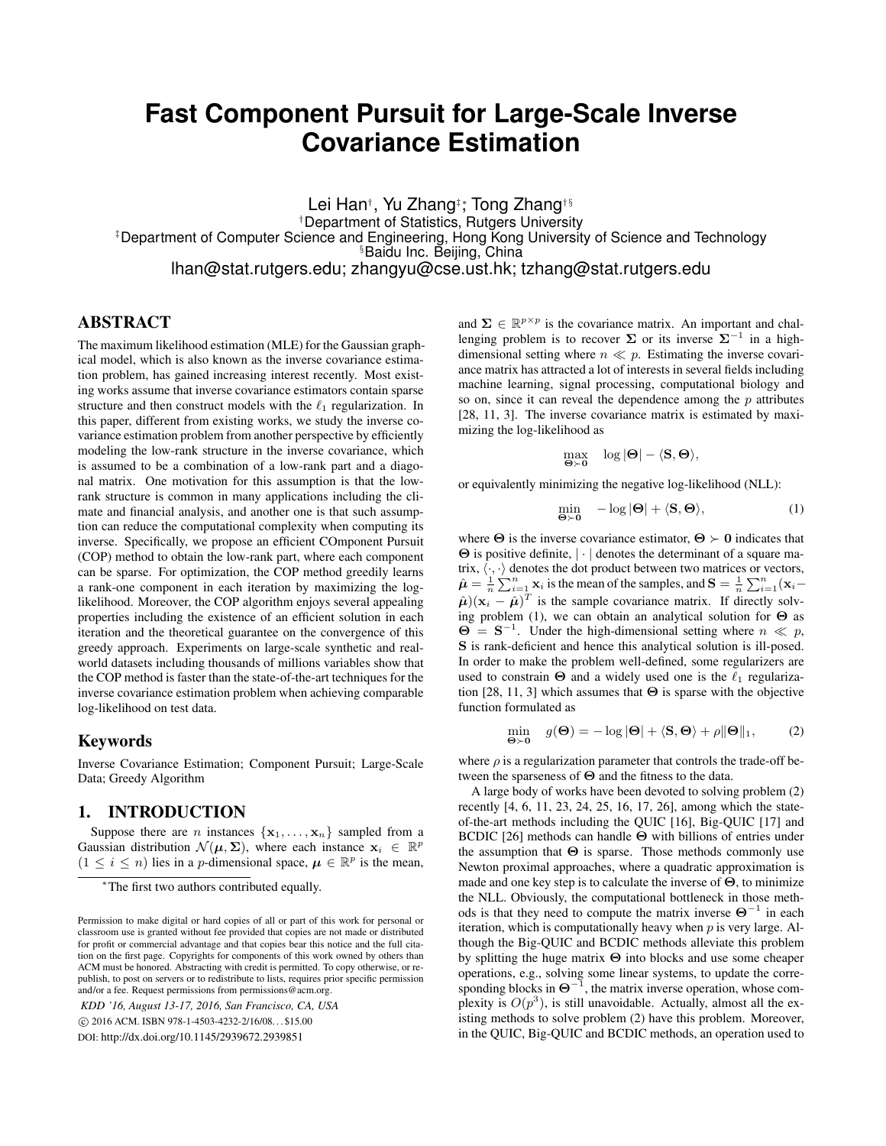# **Fast Component Pursuit for Large-Scale Inverse Covariance Estimation**

Lei Han†, Yu Zhang‡; Tong Zhang†§ †Department of Statistics, Rutgers University ‡Department of Computer Science and Engineering, Hong Kong University of Science and Technology §Baidu Inc. Beijing, China lhan@stat.rutgers.edu; zhangyu@cse.ust.hk; tzhang@stat.rutgers.edu

# ABSTRACT

The maximum likelihood estimation (MLE) for the Gaussian graphical model, which is also known as the inverse covariance estimation problem, has gained increasing interest recently. Most existing works assume that inverse covariance estimators contain sparse structure and then construct models with the  $\ell_1$  regularization. In this paper, different from existing works, we study the inverse covariance estimation problem from another perspective by efficiently modeling the low-rank structure in the inverse covariance, which is assumed to be a combination of a low-rank part and a diagonal matrix. One motivation for this assumption is that the lowrank structure is common in many applications including the climate and financial analysis, and another one is that such assumption can reduce the computational complexity when computing its inverse. Specifically, we propose an efficient COmponent Pursuit (COP) method to obtain the low-rank part, where each component can be sparse. For optimization, the COP method greedily learns a rank-one component in each iteration by maximizing the loglikelihood. Moreover, the COP algorithm enjoys several appealing properties including the existence of an efficient solution in each iteration and the theoretical guarantee on the convergence of this greedy approach. Experiments on large-scale synthetic and realworld datasets including thousands of millions variables show that the COP method is faster than the state-of-the-art techniques for the inverse covariance estimation problem when achieving comparable log-likelihood on test data.

### Keywords

Inverse Covariance Estimation; Component Pursuit; Large-Scale Data; Greedy Algorithm

# 1. INTRODUCTION

Suppose there are *n* instances  $\{x_1, \ldots, x_n\}$  sampled from a Gaussian distribution  $\mathcal{N}(\mu, \Sigma)$ , where each instance  $\mathbf{x}_i \in \mathbb{R}^p$  $(1 \leq i \leq n)$  lies in a *p*-dimensional space,  $\mu \in \mathbb{R}^p$  is the mean,

*KDD '16, August 13-17, 2016, San Francisco, CA, USA*

c 2016 ACM. ISBN 978-1-4503-4232-2/16/08. . . \$15.00

DOI: http://dx.doi.org/10.1145/2939672.2939851

and  $\Sigma \in \mathbb{R}^{p \times p}$  is the covariance matrix. An important and challenging problem is to recover  $\Sigma$  or its inverse  $\Sigma^{-1}$  in a highdimensional setting where  $n \ll p$ . Estimating the inverse covariance matrix has attracted a lot of interests in several fields including machine learning, signal processing, computational biology and so on, since it can reveal the dependence among the  $p$  attributes [28, 11, 3]. The inverse covariance matrix is estimated by maximizing the log-likelihood as

$$
\max_{\Theta\succ 0} \quad \log |\Theta| - \langle \mathbf{S}, \Theta \rangle,
$$

or equivalently minimizing the negative log-likelihood (NLL):

$$
\min_{\Theta \succ 0} \quad -\log |\Theta| + \langle \mathbf{S}, \Theta \rangle,\tag{1}
$$

where  $\Theta$  is the inverse covariance estimator,  $\Theta \succ 0$  indicates that  $\Theta$  is positive definite,  $|\cdot|$  denotes the determinant of a square matrix,  $\langle \cdot, \cdot \rangle$  denotes the dot product between two matrices or vectors,  $\hat{\mu} = \frac{1}{n} \sum_{i=1}^{n} \mathbf{x}_i$  is the mean of the samples, and  $\mathbf{S} = \frac{1}{n} \sum_{i=1}^{n} (\mathbf{x}_i - \hat{\mathbf{x}}_i)$  $(\hat{\mu})({\bf x}_i - \hat{\mu})^T$  is the sample covariance matrix. If directly solving problem (1), we can obtain an analytical solution for  $\Theta$  as  $\Theta = S^{-1}$ . Under the high-dimensional setting where  $n \ll p$ , S is rank-deficient and hence this analytical solution is ill-posed. In order to make the problem well-defined, some regularizers are used to constrain  $\Theta$  and a widely used one is the  $\ell_1$  regularization [28, 11, 3] which assumes that  $\Theta$  is sparse with the objective function formulated as

$$
\min_{\Theta \succ \mathbf{0}} \quad g(\Theta) = -\log |\Theta| + \langle \mathbf{S}, \Theta \rangle + \rho ||\Theta||_1,\tag{2}
$$

where  $\rho$  is a regularization parameter that controls the trade-off between the sparseness of Θ and the fitness to the data.

A large body of works have been devoted to solving problem (2) recently [4, 6, 11, 23, 24, 25, 16, 17, 26], among which the stateof-the-art methods including the QUIC [16], Big-QUIC [17] and BCDIC [26] methods can handle Θ with billions of entries under the assumption that  $\Theta$  is sparse. Those methods commonly use Newton proximal approaches, where a quadratic approximation is made and one key step is to calculate the inverse of  $\Theta$ , to minimize the NLL. Obviously, the computational bottleneck in those methods is that they need to compute the matrix inverse  $\Theta^{-1}$  in each iteration, which is computationally heavy when  $p$  is very large. Although the Big-QUIC and BCDIC methods alleviate this problem by splitting the huge matrix Θ into blocks and use some cheaper operations, e.g., solving some linear systems, to update the corresponding blocks in  $\Theta^{-1}$ , the matrix inverse operation, whose complexity is  $O(p^3)$ , is still unavoidable. Actually, almost all the existing methods to solve problem (2) have this problem. Moreover, in the QUIC, Big-QUIC and BCDIC methods, an operation used to

<sup>∗</sup>The first two authors contributed equally.

Permission to make digital or hard copies of all or part of this work for personal or classroom use is granted without fee provided that copies are not made or distributed for profit or commercial advantage and that copies bear this notice and the full citation on the first page. Copyrights for components of this work owned by others than ACM must be honored. Abstracting with credit is permitted. To copy otherwise, or republish, to post on servers or to redistribute to lists, requires prior specific permission and/or a fee. Request permissions from permissions@acm.org.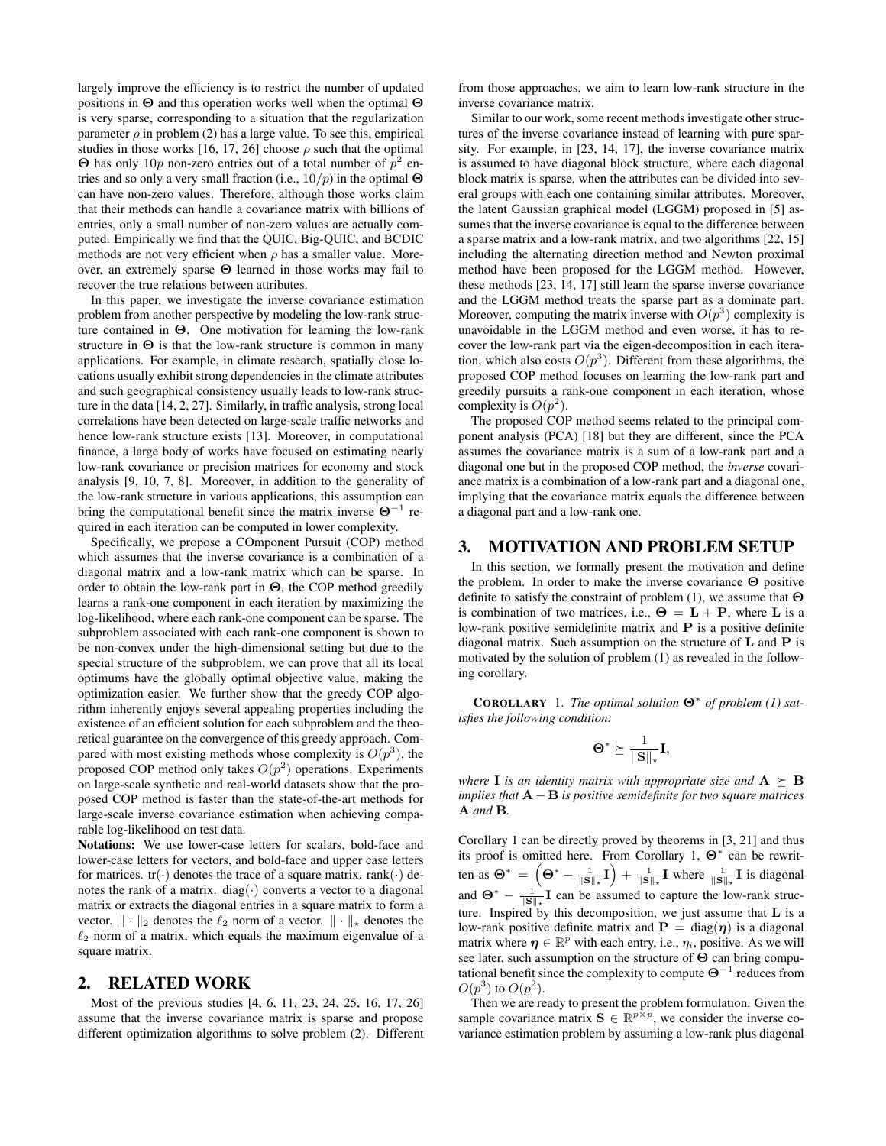largely improve the efficiency is to restrict the number of updated positions in Θ and this operation works well when the optimal Θ is very sparse, corresponding to a situation that the regularization parameter  $\rho$  in problem (2) has a large value. To see this, empirical studies in those works [16, 17, 26] choose  $\rho$  such that the optimal  $\Theta$  has only 10p non-zero entries out of a total number of  $p^2$  entries and so only a very small fraction (i.e.,  $10/p$ ) in the optimal  $\Theta$ can have non-zero values. Therefore, although those works claim that their methods can handle a covariance matrix with billions of entries, only a small number of non-zero values are actually computed. Empirically we find that the QUIC, Big-QUIC, and BCDIC methods are not very efficient when  $\rho$  has a smaller value. Moreover, an extremely sparse Θ learned in those works may fail to recover the true relations between attributes.

In this paper, we investigate the inverse covariance estimation problem from another perspective by modeling the low-rank structure contained in Θ. One motivation for learning the low-rank structure in  $\Theta$  is that the low-rank structure is common in many applications. For example, in climate research, spatially close locations usually exhibit strong dependencies in the climate attributes and such geographical consistency usually leads to low-rank structure in the data [14, 2, 27]. Similarly, in traffic analysis, strong local correlations have been detected on large-scale traffic networks and hence low-rank structure exists [13]. Moreover, in computational finance, a large body of works have focused on estimating nearly low-rank covariance or precision matrices for economy and stock analysis [9, 10, 7, 8]. Moreover, in addition to the generality of the low-rank structure in various applications, this assumption can bring the computational benefit since the matrix inverse  $\Theta^{-1}$ required in each iteration can be computed in lower complexity.

Specifically, we propose a COmponent Pursuit (COP) method which assumes that the inverse covariance is a combination of a diagonal matrix and a low-rank matrix which can be sparse. In order to obtain the low-rank part in Θ, the COP method greedily learns a rank-one component in each iteration by maximizing the log-likelihood, where each rank-one component can be sparse. The subproblem associated with each rank-one component is shown to be non-convex under the high-dimensional setting but due to the special structure of the subproblem, we can prove that all its local optimums have the globally optimal objective value, making the optimization easier. We further show that the greedy COP algorithm inherently enjoys several appealing properties including the existence of an efficient solution for each subproblem and the theoretical guarantee on the convergence of this greedy approach. Compared with most existing methods whose complexity is  $O(p^3)$ , the proposed COP method only takes  $O(p^2)$  operations. Experiments on large-scale synthetic and real-world datasets show that the proposed COP method is faster than the state-of-the-art methods for large-scale inverse covariance estimation when achieving comparable log-likelihood on test data.

Notations: We use lower-case letters for scalars, bold-face and lower-case letters for vectors, and bold-face and upper case letters for matrices.  $tr(\cdot)$  denotes the trace of a square matrix. rank $(\cdot)$  denotes the rank of a matrix. diag( $\cdot$ ) converts a vector to a diagonal matrix or extracts the diagonal entries in a square matrix to form a vector.  $\|\cdot\|_2$  denotes the  $\ell_2$  norm of a vector.  $\|\cdot\|_*$  denotes the  $\ell_2$  norm of a matrix, which equals the maximum eigenvalue of a square matrix.

### 2. RELATED WORK

Most of the previous studies [4, 6, 11, 23, 24, 25, 16, 17, 26] assume that the inverse covariance matrix is sparse and propose different optimization algorithms to solve problem (2). Different

from those approaches, we aim to learn low-rank structure in the inverse covariance matrix.

Similar to our work, some recent methods investigate other structures of the inverse covariance instead of learning with pure sparsity. For example, in [23, 14, 17], the inverse covariance matrix is assumed to have diagonal block structure, where each diagonal block matrix is sparse, when the attributes can be divided into several groups with each one containing similar attributes. Moreover, the latent Gaussian graphical model (LGGM) proposed in [5] assumes that the inverse covariance is equal to the difference between a sparse matrix and a low-rank matrix, and two algorithms [22, 15] including the alternating direction method and Newton proximal method have been proposed for the LGGM method. However, these methods [23, 14, 17] still learn the sparse inverse covariance and the LGGM method treats the sparse part as a dominate part. Moreover, computing the matrix inverse with  $O(p^3)$  complexity is unavoidable in the LGGM method and even worse, it has to recover the low-rank part via the eigen-decomposition in each iteration, which also costs  $O(p^3)$ . Different from these algorithms, the proposed COP method focuses on learning the low-rank part and greedily pursuits a rank-one component in each iteration, whose complexity is  $O(p^2)$ .

The proposed COP method seems related to the principal component analysis (PCA) [18] but they are different, since the PCA assumes the covariance matrix is a sum of a low-rank part and a diagonal one but in the proposed COP method, the *inverse* covariance matrix is a combination of a low-rank part and a diagonal one, implying that the covariance matrix equals the difference between a diagonal part and a low-rank one.

### 3. MOTIVATION AND PROBLEM SETUP

In this section, we formally present the motivation and define the problem. In order to make the inverse covariance Θ positive definite to satisfy the constraint of problem (1), we assume that Θ is combination of two matrices, i.e.,  $\Theta = L + P$ , where L is a low-rank positive semidefinite matrix and P is a positive definite diagonal matrix. Such assumption on the structure of  $L$  and  $P$  is motivated by the solution of problem (1) as revealed in the following corollary.

COROLLARY 1. *The optimal solution* Θ<sup>∗</sup> *of problem (1) satisfies the following condition:*

$$
\Theta^* \succeq \frac{1}{\|\mathbf{S}\|_{\star}}\mathbf{I},
$$

*where* **I** *is an identity matrix with appropriate size and*  $A \succeq B$ *implies that* A − B *is positive semidefinite for two square matrices* A *and* B*.*

Corollary 1 can be directly proved by theorems in [3, 21] and thus its proof is omitted here. From Corollary 1,  $\Theta^*$  can be rewritten as  $\Theta^* = \left(\Theta^* - \frac{1}{\|\mathbf{S}\|_{*}}\mathbf{I}\right) + \frac{1}{\|\mathbf{S}\|_{*}}\mathbf{I}$  where  $\frac{1}{\|\mathbf{S}\|_{*}}\mathbf{I}$  is diagonal and  $\Theta^* - \frac{1}{\|\mathbf{S}\|_{*}} \mathbf{I}$  can be assumed to capture the low-rank structure. Inspired by this decomposition, we just assume that L is a low-rank positive definite matrix and  $P = diag(\eta)$  is a diagonal matrix where  $\eta \in \mathbb{R}^p$  with each entry, i.e.,  $\eta_i$ , positive. As we will see later, such assumption on the structure of Θ can bring computational benefit since the complexity to compute  $\Theta^{-1}$  reduces from  $O(p^3)$  to  $O(p^2)$ .

Then we are ready to present the problem formulation. Given the sample covariance matrix  $\mathbf{S} \in \mathbb{R}^{p \times p}$ , we consider the inverse covariance estimation problem by assuming a low-rank plus diagonal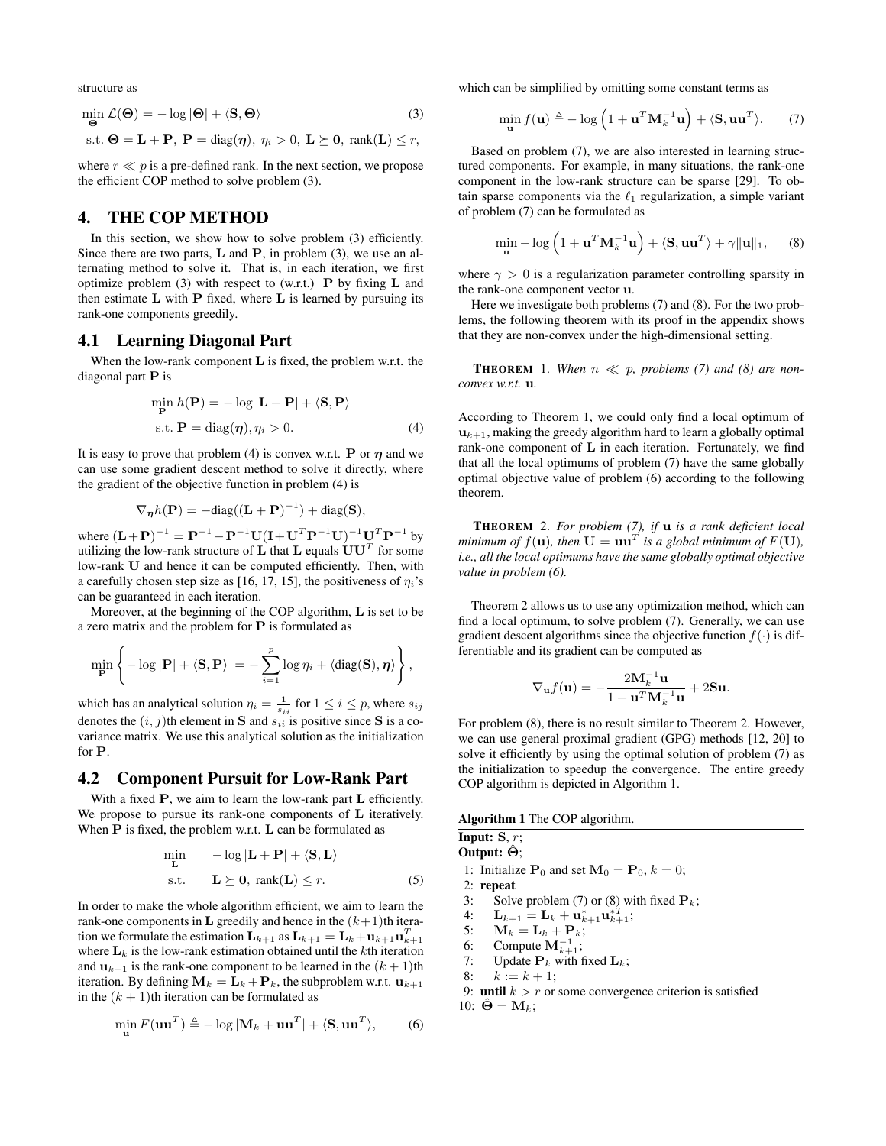structure as

$$
\min_{\Theta} \mathcal{L}(\Theta) = -\log |\Theta| + \langle \mathbf{S}, \Theta \rangle \tag{3}
$$
  
s.t.  $\Theta = \mathbf{L} + \mathbf{P}, \ \mathbf{P} = \text{diag}(\boldsymbol{\eta}), \ \eta_i > 0, \ \mathbf{L} \succeq \mathbf{0}, \ \text{rank}(\mathbf{L}) \le r$ 

where  $r \ll p$  is a pre-defined rank. In the next section, we propose the efficient COP method to solve problem (3).

### 4. THE COP METHOD

In this section, we show how to solve problem (3) efficiently. Since there are two parts,  $L$  and  $P$ , in problem (3), we use an alternating method to solve it. That is, in each iteration, we first optimize problem (3) with respect to (w.r.t.)  $\bf{P}$  by fixing  $\bf{L}$  and then estimate  $L$  with  $P$  fixed, where  $L$  is learned by pursuing its rank-one components greedily.

### 4.1 Learning Diagonal Part

When the low-rank component  $L$  is fixed, the problem w.r.t. the diagonal part P is

$$
\min_{\mathbf{P}} h(\mathbf{P}) = -\log|\mathbf{L} + \mathbf{P}| + \langle \mathbf{S}, \mathbf{P} \rangle
$$
  
s.t.  $\mathbf{P} = \text{diag}(\boldsymbol{\eta}), \eta_i > 0.$  (4)

It is easy to prove that problem (4) is convex w.r.t. **P** or  $\eta$  and we can use some gradient descent method to solve it directly, where the gradient of the objective function in problem (4) is

$$
\nabla_{\boldsymbol{\eta}} h(\mathbf{P}) = -\text{diag}((\mathbf{L} + \mathbf{P})^{-1}) + \text{diag}(\mathbf{S}),
$$

where  $(\mathbf{L} + \mathbf{P})^{-1} = \mathbf{P}^{-1} - \mathbf{P}^{-1}\mathbf{U}(\mathbf{I} + \mathbf{U}^T\mathbf{P}^{-1}\mathbf{U})^{-1}\mathbf{U}^T\mathbf{P}^{-1}$  by utilizing the low-rank structure of  $\bold{L}$  that  $\bold{L}$  equals  $\bold{U}\bold{U}^T$  for some low-rank U and hence it can be computed efficiently. Then, with a carefully chosen step size as [16, 17, 15], the positiveness of  $\eta_i$ 's can be guaranteed in each iteration.

Moreover, at the beginning of the COP algorithm, L is set to be a zero matrix and the problem for  $P$  is formulated as

$$
\min_{\mathbf{P}} \left\{-\log |\mathbf{P}| + \langle \mathbf{S}, \mathbf{P} \rangle = -\sum_{i=1}^{p} \log \eta_i + \langle \text{diag}(\mathbf{S}), \boldsymbol{\eta} \rangle \right\},\
$$

which has an analytical solution  $\eta_i = \frac{1}{s_{ii}}$  for  $1 \le i \le p$ , where  $s_{ij}$ denotes the  $(i, j)$ th element in S and  $s_{ii}$  is positive since S is a covariance matrix. We use this analytical solution as the initialization for P.

#### 4.2 Component Pursuit for Low-Rank Part

With a fixed P, we aim to learn the low-rank part **L** efficiently. We propose to pursue its rank-one components of L iteratively. When P is fixed, the problem w.r.t. L can be formulated as

$$
\min_{\mathbf{L}} \quad -\log|\mathbf{L} + \mathbf{P}| + \langle \mathbf{S}, \mathbf{L} \rangle
$$
  
s.t. 
$$
\mathbf{L} \succeq \mathbf{0}, \text{ rank}(\mathbf{L}) \leq r.
$$
 (5)

In order to make the whole algorithm efficient, we aim to learn the rank-one components in **L** greedily and hence in the  $(k+1)$ th iteration we formulate the estimation  ${\bf L}_{k+1}$  as  ${\bf L}_{k+1}={\bf L}_k+{\bf u}_{k+1}{\bf u}_{k+1}^T$ where  $L_k$  is the low-rank estimation obtained until the kth iteration and  $\mathbf{u}_{k+1}$  is the rank-one component to be learned in the  $(k+1)$ th iteration. By defining  $M_k = L_k + P_k$ , the subproblem w.r.t.  $u_{k+1}$ in the  $(k + 1)$ th iteration can be formulated as

$$
\min_{\mathbf{u}} F(\mathbf{u}\mathbf{u}^T) \triangleq -\log|\mathbf{M}_k + \mathbf{u}\mathbf{u}^T| + \langle \mathbf{S}, \mathbf{u}\mathbf{u}^T \rangle, \tag{6}
$$

which can be simplified by omitting some constant terms as

$$
\min_{\mathbf{u}} f(\mathbf{u}) \triangleq -\log \left(1 + \mathbf{u}^T \mathbf{M}_k^{-1} \mathbf{u}\right) + \langle \mathbf{S}, \mathbf{u} \mathbf{u}^T \rangle. \tag{7}
$$

Based on problem (7), we are also interested in learning structured components. For example, in many situations, the rank-one component in the low-rank structure can be sparse [29]. To obtain sparse components via the  $\ell_1$  regularization, a simple variant of problem (7) can be formulated as

$$
\min_{\mathbf{u}} - \log \left( 1 + \mathbf{u}^T \mathbf{M}_k^{-1} \mathbf{u} \right) + \langle \mathbf{S}, \mathbf{u} \mathbf{u}^T \rangle + \gamma \|\mathbf{u}\|_1, \qquad (8)
$$

where  $\gamma > 0$  is a regularization parameter controlling sparsity in the rank-one component vector u.

Here we investigate both problems (7) and (8). For the two problems, the following theorem with its proof in the appendix shows that they are non-convex under the high-dimensional setting.

**THEOREM** 1. When  $n \ll p$ , problems (7) and (8) are non*convex w.r.t.* u*.*

According to Theorem 1, we could only find a local optimum of  $u_{k+1}$ , making the greedy algorithm hard to learn a globally optimal rank-one component of L in each iteration. Fortunately, we find that all the local optimums of problem (7) have the same globally optimal objective value of problem (6) according to the following theorem.

THEOREM 2. *For problem (7), if* u *is a rank deficient local minimum of*  $f(\mathbf{u})$ *, then*  $\mathbf{U} = \mathbf{u}\mathbf{u}^T$  is a global minimum of  $F(\mathbf{U})$ *, i.e., all the local optimums have the same globally optimal objective value in problem (6).*

Theorem 2 allows us to use any optimization method, which can find a local optimum, to solve problem (7). Generally, we can use gradient descent algorithms since the objective function  $f(\cdot)$  is differentiable and its gradient can be computed as

$$
\nabla_{\mathbf{u}}f(\mathbf{u}) = -\frac{2\mathbf{M}_k^{-1}\mathbf{u}}{1 + \mathbf{u}^T\mathbf{M}_k^{-1}\mathbf{u}} + 2\mathbf{S}\mathbf{u}.
$$

For problem (8), there is no result similar to Theorem 2. However, we can use general proximal gradient (GPG) methods [12, 20] to solve it efficiently by using the optimal solution of problem (7) as the initialization to speedup the convergence. The entire greedy COP algorithm is depicted in Algorithm 1.

| Algorithm 1 The COP algorithm. |
|--------------------------------|
|--------------------------------|

Input:  $S, r$ ; Output:  $\hat{\Theta}$ ;

1: Initialize  $P_0$  and set  $M_0 = P_0$ ,  $k = 0$ ;

- 2: repeat
- 3: Solve problem (7) or (8) with fixed  $P_k$ ;
- 4:  ${\bf L}_{k+1} = {\bf L}_k + {\bf u}_{k+1}^* {\bf u}_{k+1}^{*T};$
- 5:  $\mathbf{M}_k = \mathbf{L}_k + \mathbf{P}_k$ ;
- 6: Compute  $M_{k+1}^{-1}$ ;
- 7: Update  $P_k$  with fixed  $L_k$ ;
- 8:  $k := k + 1;$
- 9: until  $k > r$  or some convergence criterion is satisfied 10:  $\ddot{\Theta} = M_k$ ;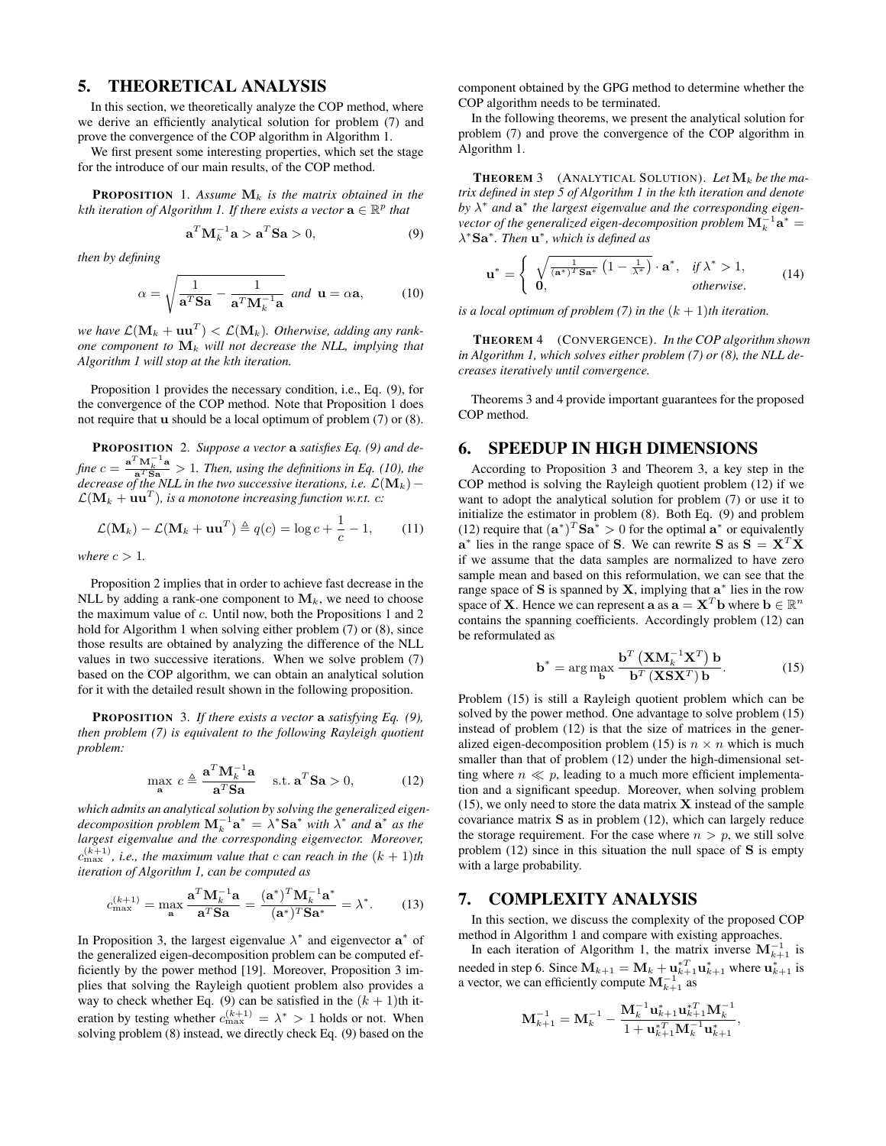# 5. THEORETICAL ANALYSIS

In this section, we theoretically analyze the COP method, where we derive an efficiently analytical solution for problem (7) and prove the convergence of the COP algorithm in Algorithm 1.

We first present some interesting properties, which set the stage for the introduce of our main results, of the COP method.

**PROPOSITION** 1. Assume  $M_k$  is the matrix obtained in the kth iteration of Algorithm 1. If there exists a vector  $\mathbf{a} \in \mathbb{R}^p$  that

$$
\mathbf{a}^T \mathbf{M}_k^{-1} \mathbf{a} > \mathbf{a}^T \mathbf{S} \mathbf{a} > 0,\tag{9}
$$

*then by defining*

$$
\alpha = \sqrt{\frac{1}{\mathbf{a}^T \mathbf{S} \mathbf{a}} - \frac{1}{\mathbf{a}^T \mathbf{M}_k^{-1} \mathbf{a}} } \quad \text{and} \quad \mathbf{u} = \alpha \mathbf{a}, \tag{10}
$$

we have  $\mathcal{L}(\mathbf{M}_k + \mathbf{u}\mathbf{u}^T) < \mathcal{L}(\mathbf{M}_k)$ . Otherwise, adding any rank*one component to*  $\mathbf{M}_k$  *will not decrease the NLL, implying that Algorithm 1 will stop at the* k*th iteration.*

Proposition 1 provides the necessary condition, i.e., Eq. (9), for the convergence of the COP method. Note that Proposition 1 does not require that u should be a local optimum of problem (7) or (8).

PROPOSITION 2. *Suppose a vector* a *satisfies Eq. (9) and de* $fine\ c=\frac{\mathbf{a}^T\mathbf{M}_k^{-1}\mathbf{a}}{\mathbf{a}^T\mathbf{S}\mathbf{a}}>1.$  Then, using the definitions in Eq. (10), the *decrease of the NLL in the two successive iterations, i.e.*  $\mathcal{L}(\mathbf{M}_k) \mathcal{L}(\mathbf{M}_k + \mathbf{u}\mathbf{u}^T)$ , is a monotone increasing function w.r.t.  $c$ :

$$
\mathcal{L}(\mathbf{M}_k) - \mathcal{L}(\mathbf{M}_k + \mathbf{u}\mathbf{u}^T) \triangleq q(c) = \log c + \frac{1}{c} - 1,\qquad(11)
$$

*where*  $c > 1$ *.* 

Proposition 2 implies that in order to achieve fast decrease in the NLL by adding a rank-one component to  $M_k$ , we need to choose the maximum value of  $c$ . Until now, both the Propositions 1 and 2 hold for Algorithm 1 when solving either problem (7) or (8), since those results are obtained by analyzing the difference of the NLL values in two successive iterations. When we solve problem (7) based on the COP algorithm, we can obtain an analytical solution for it with the detailed result shown in the following proposition.

PROPOSITION 3. *If there exists a vector* a *satisfying Eq. (9), then problem (7) is equivalent to the following Rayleigh quotient problem:*

$$
\max_{\mathbf{a}} c \triangleq \frac{\mathbf{a}^T \mathbf{M}_k^{-1} \mathbf{a}}{\mathbf{a}^T \mathbf{S} \mathbf{a}} \quad \text{s.t. } \mathbf{a}^T \mathbf{S} \mathbf{a} > 0,
$$
 (12)

*which admits an analytical solution by solving the generalized eigendecomposition problem*  $\mathbf{M}_k^{-1} \mathbf{a}^* = \lambda^* \mathbf{S} \mathbf{a}^*$  *with*  $\bar{\lambda}^*$  *and*  $\mathbf{a}^*$  *as the largest eigenvalue and the corresponding eigenvector. Moreover,*  $c_{\text{max}}^{(k+1)}$ , *i.e., the maximum value that*  $c$  *can reach in the*  $(k+1)$ *th iteration of Algorithm 1, can be computed as*

$$
c_{\max}^{(k+1)} = \max_{\mathbf{a}} \frac{\mathbf{a}^T \mathbf{M}_k^{-1} \mathbf{a}}{\mathbf{a}^T \mathbf{S} \mathbf{a}} = \frac{(\mathbf{a}^*)^T \mathbf{M}_k^{-1} \mathbf{a}^*}{(\mathbf{a}^*)^T \mathbf{S} \mathbf{a}^*} = \lambda^*.
$$
 (13)

In Proposition 3, the largest eigenvalue  $\lambda^*$  and eigenvector  $a^*$  of the generalized eigen-decomposition problem can be computed efficiently by the power method [19]. Moreover, Proposition 3 implies that solving the Rayleigh quotient problem also provides a way to check whether Eq. (9) can be satisfied in the  $(k + 1)$ th iteration by testing whether  $c_{\text{max}}^{(k+1)} = \lambda^* > 1$  holds or not. When solving problem (8) instead, we directly check Eq. (9) based on the

component obtained by the GPG method to determine whether the COP algorithm needs to be terminated.

In the following theorems, we present the analytical solution for problem (7) and prove the convergence of the COP algorithm in Algorithm 1.

**THEOREM** 3 (ANALYTICAL SOLUTION). Let  $\mathbf{M}_k$  be the ma*trix defined in step 5 of Algorithm 1 in the* k*th iteration and denote* by  $\lambda^*$  and  $\mathbf{a}^*$  the largest eigenvalue and the corresponding eigenvector of the generalized eigen-decomposition problem  $\mathbf{M}_k^{-1}\mathbf{a}^* =$ λ <sup>∗</sup>Sa<sup>∗</sup> *. Then* u ∗ *, which is defined as*

$$
\mathbf{u}^* = \begin{cases} \sqrt{\frac{1}{(\mathbf{a}^*)^T \mathbf{S} \mathbf{a}^*} \left(1 - \frac{1}{\lambda^*}\right)} \cdot \mathbf{a}^*, & \text{if } \lambda^* > 1, \\ \mathbf{0}, & \text{otherwise.} \end{cases} \tag{14}
$$

*is a local optimum of problem* (7) *in the*  $(k + 1)$ *th iteration.* 

THEOREM 4 (CONVERGENCE). *In the COP algorithm shown in Algorithm 1, which solves either problem (7) or (8), the NLL decreases iteratively until convergence.*

Theorems 3 and 4 provide important guarantees for the proposed COP method.

### 6. SPEEDUP IN HIGH DIMENSIONS

According to Proposition 3 and Theorem 3, a key step in the COP method is solving the Rayleigh quotient problem (12) if we want to adopt the analytical solution for problem (7) or use it to initialize the estimator in problem (8). Both Eq. (9) and problem (12) require that  $(\mathbf{a}^*)^T \mathbf{S} \mathbf{a}^* > 0$  for the optimal  $\mathbf{a}^*$  or equivalently  $\mathbf{a}^*$  lies in the range space of S. We can rewrite S as  $\mathbf{S} = \mathbf{X}^T \mathbf{X}$ if we assume that the data samples are normalized to have zero sample mean and based on this reformulation, we can see that the range space of S is spanned by X, implying that  $a^*$  lies in the row space of **X**. Hence we can represent **a** as  $\mathbf{a} = \mathbf{X}^T \mathbf{b}$  where  $\mathbf{b} \in \mathbb{R}^n$ contains the spanning coefficients. Accordingly problem (12) can be reformulated as

$$
\mathbf{b}^* = \arg\max_{\mathbf{b}} \frac{\mathbf{b}^T \left( \mathbf{X} \mathbf{M}_k^{-1} \mathbf{X}^T \right) \mathbf{b}}{\mathbf{b}^T \left( \mathbf{X} \mathbf{S} \mathbf{X}^T \right) \mathbf{b}}.
$$
 (15)

Problem (15) is still a Rayleigh quotient problem which can be solved by the power method. One advantage to solve problem (15) instead of problem (12) is that the size of matrices in the generalized eigen-decomposition problem (15) is  $n \times n$  which is much smaller than that of problem (12) under the high-dimensional setting where  $n \ll p$ , leading to a much more efficient implementation and a significant speedup. Moreover, when solving problem  $(15)$ , we only need to store the data matrix **X** instead of the sample covariance matrix S as in problem (12), which can largely reduce the storage requirement. For the case where  $n > p$ , we still solve problem  $(12)$  since in this situation the null space of S is empty with a large probability.

## 7. COMPLEXITY ANALYSIS

In this section, we discuss the complexity of the proposed COP method in Algorithm 1 and compare with existing approaches.

In each iteration of Algorithm 1, the matrix inverse  $M_{k+1}^{-1}$  is needed in step 6. Since  $\mathbf{M}_{k+1} = \mathbf{M}_k + \mathbf{u}_{k+1}^{*T} \mathbf{u}_{k+1}^*$  where  $\mathbf{u}_{k+1}^*$  is a vector, we can efficiently compute  $M_{k+1}^{-1}$  as

$$
\mathbf{M}_{k+1}^{-1} = \mathbf{M}_{k}^{-1} - \frac{\mathbf{M}_{k}^{-1}\mathbf{u}_{k+1}^*\mathbf{u}_{k+1}^{*T}\mathbf{M}_{k}^{-1}}{1 + \mathbf{u}_{k+1}^{*T}\mathbf{M}_{k}^{-1}\mathbf{u}_{k+1}^*}
$$

,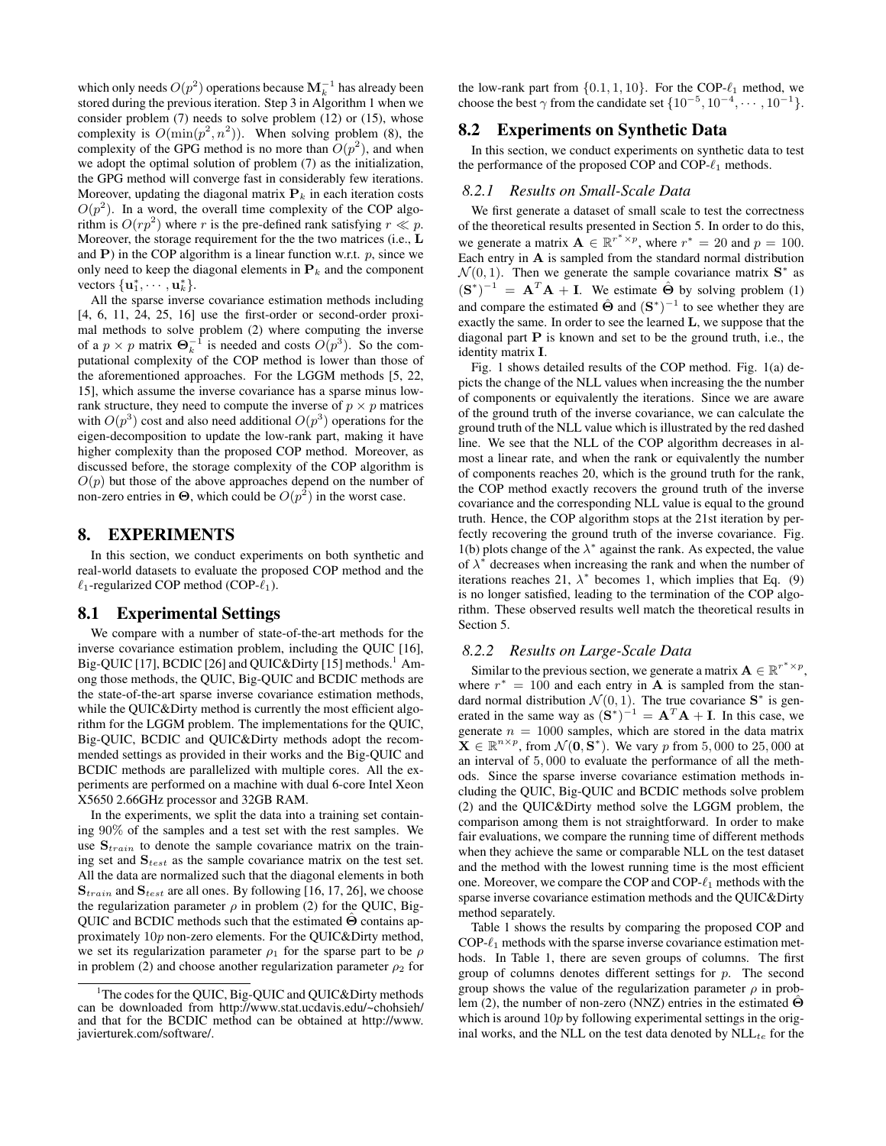which only needs  $O(p^2)$  operations because  $\mathbf{M}_k^{-1}$  has already been stored during the previous iteration. Step 3 in Algorithm 1 when we consider problem (7) needs to solve problem (12) or (15), whose complexity is  $O(\min(p^2, n^2))$ . When solving problem (8), the complexity of the GPG method is no more than  $O(p^2)$ , and when we adopt the optimal solution of problem (7) as the initialization, the GPG method will converge fast in considerably few iterations. Moreover, updating the diagonal matrix  $P_k$  in each iteration costs  $O(p^2)$ . In a word, the overall time complexity of the COP algorithm is  $O(rp^2)$  where r is the pre-defined rank satisfying  $r \ll p$ . Moreover, the storage requirement for the the two matrices (i.e., L and  $P$ ) in the COP algorithm is a linear function w.r.t.  $p$ , since we only need to keep the diagonal elements in  $P_k$  and the component vectors  $\{ \mathbf{u}_1^*, \cdots, \mathbf{u}_k^* \}.$ 

All the sparse inverse covariance estimation methods including [4, 6, 11, 24, 25, 16] use the first-order or second-order proximal methods to solve problem (2) where computing the inverse of a  $p \times p$  matrix  $\mathbf{\Theta}_k^{-1}$  is needed and costs  $O(p^3)$ . So the computational complexity of the COP method is lower than those of the aforementioned approaches. For the LGGM methods [5, 22, 15], which assume the inverse covariance has a sparse minus lowrank structure, they need to compute the inverse of  $p \times p$  matrices with  $O(p^3)$  cost and also need additional  $O(p^3)$  operations for the eigen-decomposition to update the low-rank part, making it have higher complexity than the proposed COP method. Moreover, as discussed before, the storage complexity of the COP algorithm is  $O(p)$  but those of the above approaches depend on the number of non-zero entries in  $\Theta$ , which could be  $O(p^2)$  in the worst case.

### 8. EXPERIMENTS

In this section, we conduct experiments on both synthetic and real-world datasets to evaluate the proposed COP method and the  $\ell_1$ -regularized COP method (COP- $\ell_1$ ).

#### 8.1 Experimental Settings

We compare with a number of state-of-the-art methods for the inverse covariance estimation problem, including the QUIC [16], Big-QUIC [17], BCDIC [26] and QUIC&Dirty [15] methods.<sup>1</sup> Among those methods, the QUIC, Big-QUIC and BCDIC methods are the state-of-the-art sparse inverse covariance estimation methods, while the QUIC&Dirty method is currently the most efficient algorithm for the LGGM problem. The implementations for the QUIC, Big-QUIC, BCDIC and QUIC&Dirty methods adopt the recommended settings as provided in their works and the Big-QUIC and BCDIC methods are parallelized with multiple cores. All the experiments are performed on a machine with dual 6-core Intel Xeon X5650 2.66GHz processor and 32GB RAM.

In the experiments, we split the data into a training set containing 90% of the samples and a test set with the rest samples. We use  $S_{train}$  to denote the sample covariance matrix on the training set and  $S_{test}$  as the sample covariance matrix on the test set. All the data are normalized such that the diagonal elements in both  $S_{train}$  and  $S_{test}$  are all ones. By following [16, 17, 26], we choose the regularization parameter  $\rho$  in problem (2) for the QUIC, Big-QUIC and BCDIC methods such that the estimated  $\hat{\Theta}$  contains approximately 10p non-zero elements. For the QUIC&Dirty method, we set its regularization parameter  $\rho_1$  for the sparse part to be  $\rho$ in problem (2) and choose another regularization parameter  $\rho_2$  for

the low-rank part from  $\{0.1, 1, 10\}$ . For the COP- $\ell_1$  method, we choose the best  $\gamma$  from the candidate set  $\{10^{-5}, 10^{-4}, \cdots, 10^{-1}\}.$ 

### 8.2 Experiments on Synthetic Data

In this section, we conduct experiments on synthetic data to test the performance of the proposed COP and COP- $\ell_1$  methods.

#### *8.2.1 Results on Small-Scale Data*

We first generate a dataset of small scale to test the correctness of the theoretical results presented in Section 5. In order to do this, we generate a matrix  $\mathbf{A} \in \mathbb{R}^{r^* \times p}$ , where  $r^* = 20$  and  $p = 100$ . Each entry in A is sampled from the standard normal distribution  $\mathcal{N}(0, 1)$ . Then we generate the sample covariance matrix  $S^*$  as  $({\bf S}^*)^{-1} = {\bf A}^T{\bf A} + {\bf I}$ . We estimate  $\hat{\bf \Theta}$  by solving problem (1) and compare the estimated  $\hat{\Theta}$  and  $(S^*)^{-1}$  to see whether they are exactly the same. In order to see the learned L, we suppose that the diagonal part P is known and set to be the ground truth, i.e., the identity matrix I.

Fig. 1 shows detailed results of the COP method. Fig. 1(a) depicts the change of the NLL values when increasing the the number of components or equivalently the iterations. Since we are aware of the ground truth of the inverse covariance, we can calculate the ground truth of the NLL value which is illustrated by the red dashed line. We see that the NLL of the COP algorithm decreases in almost a linear rate, and when the rank or equivalently the number of components reaches 20, which is the ground truth for the rank, the COP method exactly recovers the ground truth of the inverse covariance and the corresponding NLL value is equal to the ground truth. Hence, the COP algorithm stops at the 21st iteration by perfectly recovering the ground truth of the inverse covariance. Fig. 1(b) plots change of the  $\lambda^*$  against the rank. As expected, the value of  $\lambda^*$  decreases when increasing the rank and when the number of iterations reaches 21,  $\lambda^*$  becomes 1, which implies that Eq. (9) is no longer satisfied, leading to the termination of the COP algorithm. These observed results well match the theoretical results in Section 5.

#### *8.2.2 Results on Large-Scale Data*

Similar to the previous section, we generate a matrix  $\mathbf{A} \in \mathbb{R}^{r^* \times p}$ , where  $r^* = 100$  and each entry in **A** is sampled from the standard normal distribution  $\mathcal{N}(0, 1)$ . The true covariance  $S^*$  is generated in the same way as  $(S^*)^{-1} = A^T A + I$ . In this case, we generate  $n = 1000$  samples, which are stored in the data matrix  $\mathbf{X} \in \mathbb{R}^{n \times p}$ , from  $\mathcal{N}(\mathbf{0}, \mathbf{S}^*)$ . We vary p from 5,000 to 25,000 at an interval of 5, 000 to evaluate the performance of all the methods. Since the sparse inverse covariance estimation methods including the QUIC, Big-QUIC and BCDIC methods solve problem (2) and the QUIC&Dirty method solve the LGGM problem, the comparison among them is not straightforward. In order to make fair evaluations, we compare the running time of different methods when they achieve the same or comparable NLL on the test dataset and the method with the lowest running time is the most efficient one. Moreover, we compare the COP and COP- $\ell_1$  methods with the sparse inverse covariance estimation methods and the QUIC&Dirty method separately.

Table 1 shows the results by comparing the proposed COP and  $COP-\ell_1$  methods with the sparse inverse covariance estimation methods. In Table 1, there are seven groups of columns. The first group of columns denotes different settings for  $p$ . The second group shows the value of the regularization parameter  $\rho$  in problem (2), the number of non-zero (NNZ) entries in the estimated  $\Theta$ which is around  $10p$  by following experimental settings in the original works, and the NLL on the test data denoted by  $NLL_{te}$  for the

<sup>&</sup>lt;sup>1</sup>The codes for the QUIC, Big-QUIC and QUIC&Dirty methods can be downloaded from http://www.stat.ucdavis.edu/~chohsieh/ and that for the BCDIC method can be obtained at http://www. javierturek.com/software/.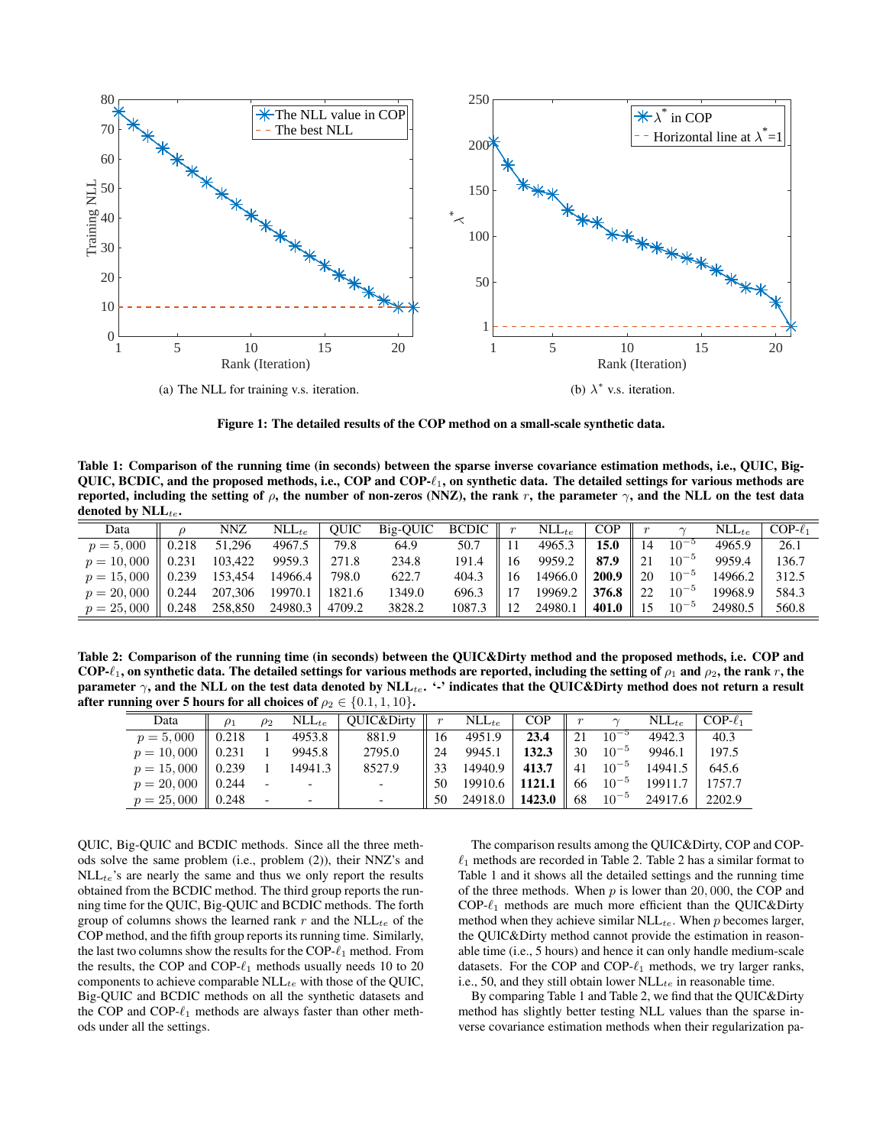

Figure 1: The detailed results of the COP method on a small-scale synthetic data.

Table 1: Comparison of the running time (in seconds) between the sparse inverse covariance estimation methods, i.e., QUIC, Big-QUIC, BCDIC, and the proposed methods, i.e., COP and  $COP-\ell_1$ , on synthetic data. The detailed settings for various methods are reported, including the setting of  $\rho$ , the number of non-zeros (NNZ), the rank r, the parameter  $\gamma$ , and the NLL on the test data denoted by  $NLL_{te}$ .

| Data                                       |                   | NNZ     | $NLL_{te}$ | OUIC   | Big-QUIC BCDIC |        |    | $NLL_{te}$ | <b>COP</b> |    |           | $NLL_{te}$ | $COP-\ell_1$ |
|--------------------------------------------|-------------------|---------|------------|--------|----------------|--------|----|------------|------------|----|-----------|------------|--------------|
| $p = 5,000$                                | $\parallel$ 0.218 | 51,296  | 4967.5     | 79.8   | 64.9           | 50.7   |    | 4965.3     | 15.0       | 14 | $10^{-5}$ | 4965.9     | 26.1         |
| $p = 10,000 \parallel 0.231$               |                   | 103,422 | 9959.3     | 271.8  | 234.8          | 191.4  | 16 | 9959.2     | 87.9       | 21 | $10^{-5}$ | 9959.4     | 136.7        |
| $p = 15,000 \parallel 0.239$               |                   | 153,454 | 14966.4    | 798.0  | 622.7          | 404.3  | 16 | 14966.0    | 200.9      | 20 | $10^{-5}$ | 14966.2    | 312.5        |
| $p = 20,000 \parallel 0.244 \quad 207,306$ |                   |         | 19970.1    | 1821.6 | 1349.0         | 696.3  | 17 | 19969.2    | 376.8      | 22 | $10^{-5}$ | 19968.9    | 584.3        |
| $p = 25,000 \parallel 0.248$ 258,850       |                   |         | 24980.3    | 4709.2 | 3828.2         | 1087.3 | 12 | 24980.1    | 401.0      | 15 | $10^{-5}$ | 24980.5    | 560.8        |

Table 2: Comparison of the running time (in seconds) between the QUIC&Dirty method and the proposed methods, i.e. COP and COP- $\ell_1$ , on synthetic data. The detailed settings for various methods are reported, including the setting of  $\rho_1$  and  $\rho_2$ , the rank r, the parameter  $\gamma$ , and the NLL on the test data denoted by NLL<sub>te</sub>. '-' indicates that the QUIC&Dirty method does not return a result after running over 5 hours for all choices of  $\rho_2 \in \{0.1, 1, 10\}$ .

| $\frac{1}{2}$ $\frac{1}{2}$ $\frac{1}{2}$ $\frac{1}{2}$ $\frac{1}{2}$ $\frac{1}{2}$ $\frac{1}{2}$ $\frac{1}{2}$ $\frac{1}{2}$ $\frac{1}{2}$ $\frac{1}{2}$ $\frac{1}{2}$ $\frac{1}{2}$ $\frac{1}{2}$ $\frac{1}{2}$ $\frac{1}{2}$ $\frac{1}{2}$ $\frac{1}{2}$ $\frac{1}{2}$ $\frac{1}{2}$ $\frac{1}{2}$ $\frac{1}{2}$ |                   |          |                   |                          |                  |                    |            |                  |                |                   |              |
|---------------------------------------------------------------------------------------------------------------------------------------------------------------------------------------------------------------------------------------------------------------------------------------------------------------------|-------------------|----------|-------------------|--------------------------|------------------|--------------------|------------|------------------|----------------|-------------------|--------------|
| Data                                                                                                                                                                                                                                                                                                                | $\rho_1$          | $\rho_2$ | $\text{NLL}_{te}$ | OUIC&Dirty               | $\boldsymbol{r}$ | $NLL_{te}$         | <b>COP</b> | $\boldsymbol{r}$ | $\sim$         | $NLL_{te}$        | $COP-\ell_1$ |
| $p = 5,000$                                                                                                                                                                                                                                                                                                         | $\parallel$ 0.218 |          | 4953.8            | 881.9                    | 16               | 4951.9             | 23.4       | 21               | $10^{-5}$      | 4942.3            | 40.3         |
| $p = 10,000 \parallel 0.231$                                                                                                                                                                                                                                                                                        |                   |          | 9945.8            | 2795.0                   | 24               | 9945.1             | 132.3      | 30               | $10^{-5}$      | 9946.1            | 197.5        |
| $p = 15,000 \parallel 0.239$                                                                                                                                                                                                                                                                                        |                   |          | 14941.3           | 8527.9                   | 33               | 14940.9            | 413.7      | 41               | $10^{-5}$      | 14941.5           | 645.6        |
| $p = 20,000 \parallel 0.244$                                                                                                                                                                                                                                                                                        |                   |          |                   |                          | 50               | $19910.6$   1121.1 |            |                  | $66 \t10^{-5}$ | 19911.7           | 1757.7       |
| $p = 25,000 \parallel 0.248$                                                                                                                                                                                                                                                                                        |                   |          |                   | $\overline{\phantom{a}}$ | 50               | 24918.0   1423.0   |            | 68               |                | $10^{-5}$ 24917.6 | 2202.9       |

QUIC, Big-QUIC and BCDIC methods. Since all the three methods solve the same problem (i.e., problem (2)), their NNZ's and  $NLL_{te}$ 's are nearly the same and thus we only report the results obtained from the BCDIC method. The third group reports the running time for the QUIC, Big-QUIC and BCDIC methods. The forth group of columns shows the learned rank r and the  $NLL_{te}$  of the COP method, and the fifth group reports its running time. Similarly, the last two columns show the results for the COP- $\ell_1$  method. From the results, the COP and COP- $\ell_1$  methods usually needs 10 to 20 components to achieve comparable  $NLL_{te}$  with those of the QUIC, Big-QUIC and BCDIC methods on all the synthetic datasets and the COP and COP- $\ell_1$  methods are always faster than other methods under all the settings.

The comparison results among the QUIC&Dirty, COP and COP-  $\ell_1$  methods are recorded in Table 2. Table 2 has a similar format to Table 1 and it shows all the detailed settings and the running time of the three methods. When  $p$  is lower than 20,000, the COP and  $COP-\ell_1$  methods are much more efficient than the QUIC&Dirty method when they achieve similar  $NLL_{te}$ . When p becomes larger, the QUIC&Dirty method cannot provide the estimation in reasonable time (i.e., 5 hours) and hence it can only handle medium-scale datasets. For the COP and COP- $\ell_1$  methods, we try larger ranks, i.e., 50, and they still obtain lower  $NLL_{te}$  in reasonable time.

By comparing Table 1 and Table 2, we find that the QUIC&Dirty method has slightly better testing NLL values than the sparse inverse covariance estimation methods when their regularization pa-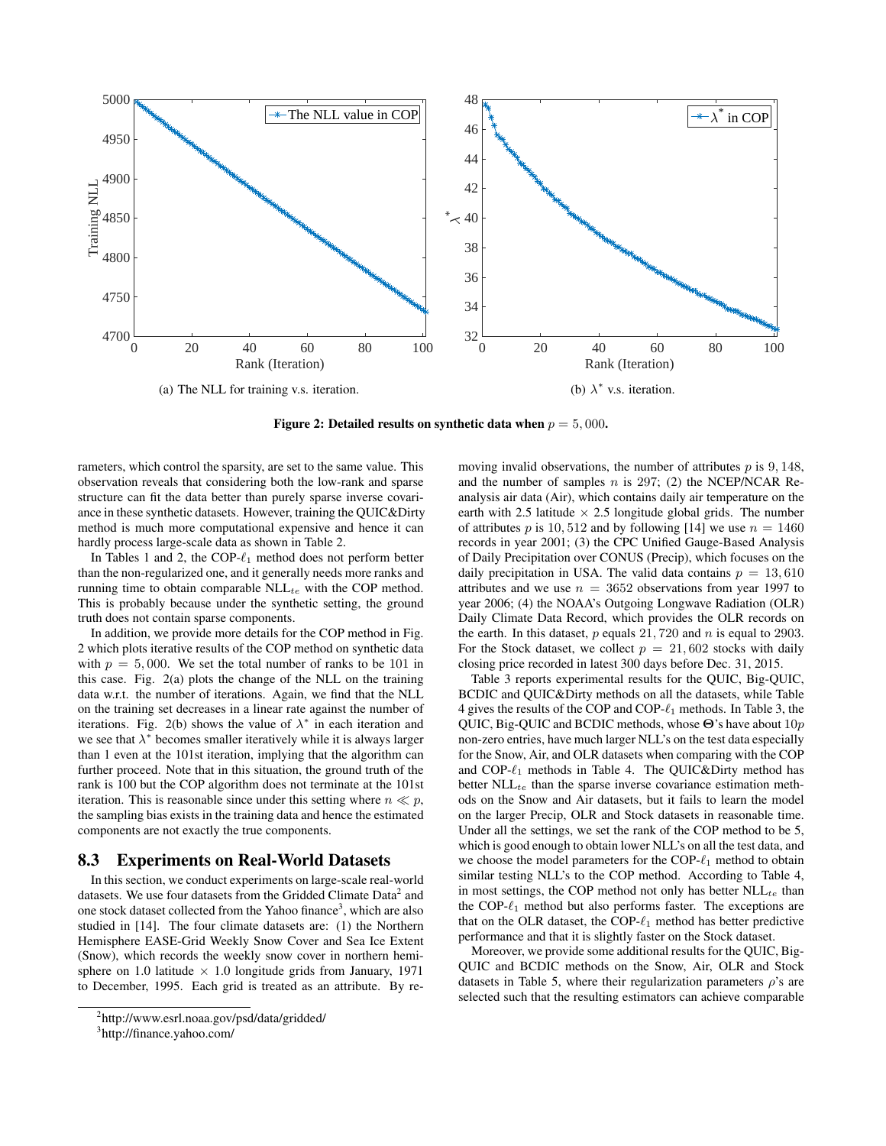

Figure 2: Detailed results on synthetic data when  $p = 5,000$ .

rameters, which control the sparsity, are set to the same value. This observation reveals that considering both the low-rank and sparse structure can fit the data better than purely sparse inverse covariance in these synthetic datasets. However, training the QUIC&Dirty method is much more computational expensive and hence it can hardly process large-scale data as shown in Table 2.

In Tables 1 and 2, the COP- $\ell_1$  method does not perform better than the non-regularized one, and it generally needs more ranks and running time to obtain comparable  $NLL_{te}$  with the COP method. This is probably because under the synthetic setting, the ground truth does not contain sparse components.

In addition, we provide more details for the COP method in Fig. 2 which plots iterative results of the COP method on synthetic data with  $p = 5,000$ . We set the total number of ranks to be 101 in this case. Fig. 2(a) plots the change of the NLL on the training data w.r.t. the number of iterations. Again, we find that the NLL on the training set decreases in a linear rate against the number of iterations. Fig. 2(b) shows the value of  $\lambda^*$  in each iteration and we see that  $\lambda^*$  becomes smaller iteratively while it is always larger than 1 even at the 101st iteration, implying that the algorithm can further proceed. Note that in this situation, the ground truth of the rank is 100 but the COP algorithm does not terminate at the 101st iteration. This is reasonable since under this setting where  $n \ll p$ , the sampling bias exists in the training data and hence the estimated components are not exactly the true components.

### 8.3 Experiments on Real-World Datasets

In this section, we conduct experiments on large-scale real-world datasets. We use four datasets from the Gridded Climate Data<sup>2</sup> and one stock dataset collected from the Yahoo finance<sup>3</sup>, which are also studied in [14]. The four climate datasets are: (1) the Northern Hemisphere EASE-Grid Weekly Snow Cover and Sea Ice Extent (Snow), which records the weekly snow cover in northern hemisphere on 1.0 latitude  $\times$  1.0 longitude grids from January, 1971 to December, 1995. Each grid is treated as an attribute. By removing invalid observations, the number of attributes  $p$  is 9, 148, and the number of samples  $n$  is 297; (2) the NCEP/NCAR Reanalysis air data (Air), which contains daily air temperature on the earth with 2.5 latitude  $\times$  2.5 longitude global grids. The number of attributes p is 10, 512 and by following [14] we use  $n = 1460$ records in year 2001; (3) the CPC Unified Gauge-Based Analysis of Daily Precipitation over CONUS (Precip), which focuses on the daily precipitation in USA. The valid data contains  $p = 13,610$ attributes and we use  $n = 3652$  observations from year 1997 to year 2006; (4) the NOAA's Outgoing Longwave Radiation (OLR) Daily Climate Data Record, which provides the OLR records on the earth. In this dataset,  $p$  equals 21, 720 and  $n$  is equal to 2903. For the Stock dataset, we collect  $p = 21,602$  stocks with daily closing price recorded in latest 300 days before Dec. 31, 2015.

Table 3 reports experimental results for the QUIC, Big-QUIC, BCDIC and QUIC&Dirty methods on all the datasets, while Table 4 gives the results of the COP and COP- $\ell_1$  methods. In Table 3, the QUIC, Big-QUIC and BCDIC methods, whose Θ's have about 10p non-zero entries, have much larger NLL's on the test data especially for the Snow, Air, and OLR datasets when comparing with the COP and COP- $\ell_1$  methods in Table 4. The QUIC&Dirty method has better  $NLL_{te}$  than the sparse inverse covariance estimation methods on the Snow and Air datasets, but it fails to learn the model on the larger Precip, OLR and Stock datasets in reasonable time. Under all the settings, we set the rank of the COP method to be 5, which is good enough to obtain lower NLL's on all the test data, and we choose the model parameters for the COP- $\ell_1$  method to obtain similar testing NLL's to the COP method. According to Table 4, in most settings, the COP method not only has better  $NLL_{te}$  than the COP- $\ell_1$  method but also performs faster. The exceptions are that on the OLR dataset, the COP- $\ell_1$  method has better predictive performance and that it is slightly faster on the Stock dataset.

Moreover, we provide some additional results for the QUIC, Big-QUIC and BCDIC methods on the Snow, Air, OLR and Stock datasets in Table 5, where their regularization parameters  $\rho$ 's are selected such that the resulting estimators can achieve comparable

<sup>&</sup>lt;sup>2</sup>http://www.esrl.noaa.gov/psd/data/gridded/

<sup>3</sup> http://finance.yahoo.com/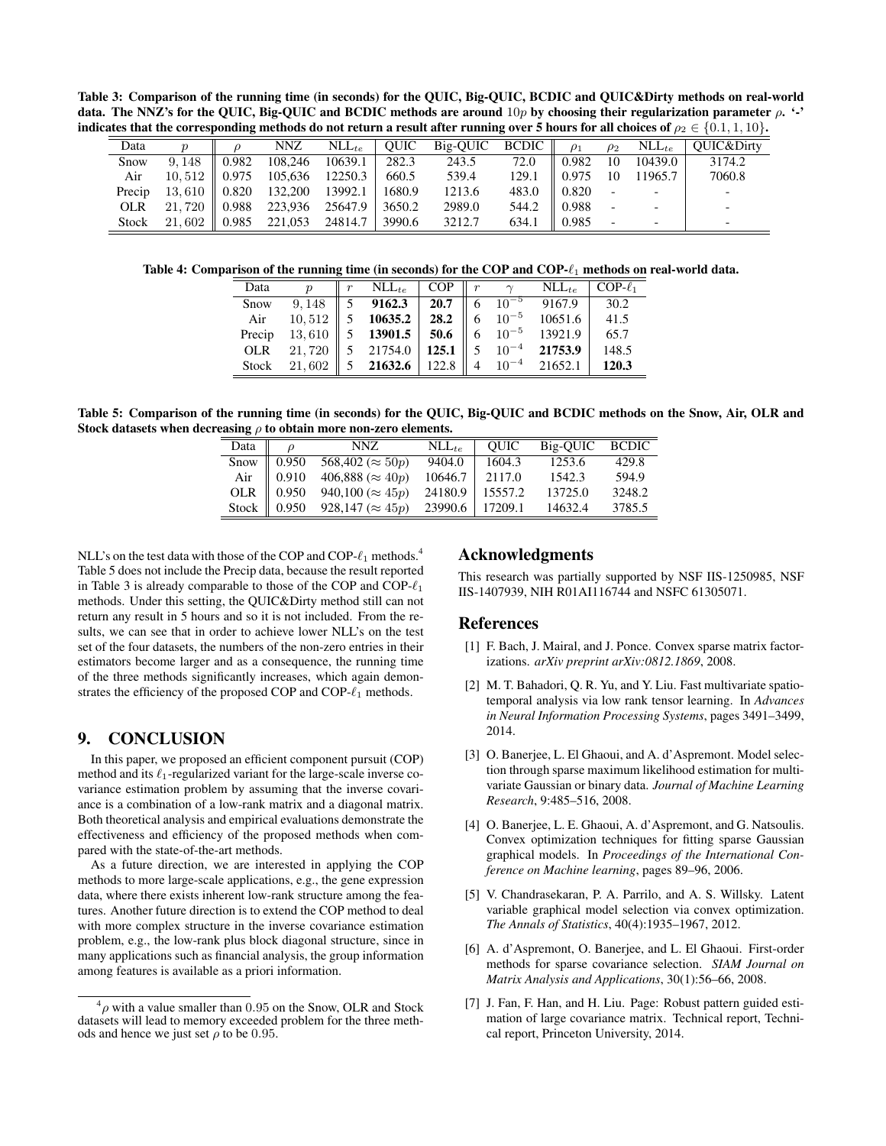Table 3: Comparison of the running time (in seconds) for the QUIC, Big-QUIC, BCDIC and QUIC&Dirty methods on real-world data. The NNZ's for the QUIC, Big-QUIC and BCDIC methods are around  $10p$  by choosing their regularization parameter  $\rho$ . '-' indicates that the corresponding methods do not return a result after running over 5 hours for all choices of  $\rho_2 \in \{0.1, 1, 10\}$ .

| Data       |                          |       | <b>NNZ</b> | $NLL_{te}$ | <b>OUIC</b> | Big-OUIC BCDIC |       | $\rho_1$ | $\rho_2$                 | $NLL_{te}$               | <b>OUIC&amp;Dirty</b>    |
|------------|--------------------------|-------|------------|------------|-------------|----------------|-------|----------|--------------------------|--------------------------|--------------------------|
| Snow       | 9.148                    | 0.982 | 108,246    | 10639.1    | 282.3       | 243.5          | 72.0  | 0.982    | 10                       | 10439.0                  | 3174.2                   |
| Air        | 10.512                   | 0.975 | 105,636    | 12250.3    | 660.5       | 539.4          | 129.1 | 0.975    | 10                       | 11965.7                  | 7060.8                   |
| Precip     | 13.610 $\parallel$ 0.820 |       | 132,200    | 13992.1    | 1680.9      | 1213.6         | 483.0 | 0.820    |                          |                          |                          |
| <b>OLR</b> | 21.720                   | 0.988 | 223.936    | 25647.9    | 3650.2      | 2989.0         | 544.2 | 0.988    |                          |                          |                          |
| Stock      | 21.602                   | 0.985 | 221,053    | 24814.7    | 3990.6      | 3212.7         | 634.1 | 0.985    | $\overline{\phantom{0}}$ | $\overline{\phantom{0}}$ | $\overline{\phantom{0}}$ |

Table 4: Comparison of the running time (in seconds) for the COP and COP- $\ell_1$  methods on real-world data.

| Data       |                | $NLL_{te}$                        | <b>COP</b>  | $\boldsymbol{r}$ |           | $NLL_{te}$        | $COP-\ell_1$ |
|------------|----------------|-----------------------------------|-------------|------------------|-----------|-------------------|--------------|
| Snow       | 9,148          | $5\quad 9162.3$                   | 20.7        | - 6              | $10^{-5}$ | 9167.9            | 30.2         |
| Air        | 10,512         | $5\quad 10635.2$                  | 28.2        | $\parallel$ 6    | $10^{-5}$ | 10651.6           | 41.5         |
| Precip     | $13,610$       | $5$ 13901.5                       | 50.6 $\ $ 6 |                  | $10^{-5}$ | 13921.9           | 65.7         |
| <b>OLR</b> | 21,720         | 5 21754.0 $\vert$ 125.1 $\vert$ 5 |             |                  |           | $10^{-4}$ 21753.9 | 148.5        |
|            | Stock $21.602$ | 5 21632.6 122.8 4                 |             |                  |           | $10^{-4}$ 21652.1 | 120.3        |

Table 5: Comparison of the running time (in seconds) for the QUIC, Big-QUIC and BCDIC methods on the Snow, Air, OLR and Stock datasets when decreasing  $\rho$  to obtain more non-zero elements.

| Data $\parallel$ |                    | NNZ.                                                                                                                                                                     | $NLL_{te}$       | <b>OUIC</b> | Big-OUIC BCDIC |        |
|------------------|--------------------|--------------------------------------------------------------------------------------------------------------------------------------------------------------------------|------------------|-------------|----------------|--------|
|                  | Snow $\vert$ 0.950 | 568,402 ( $\approx$ 50p)                                                                                                                                                 | 9404.0           | 1604.3      | 1253.6         | 429.8  |
|                  | Air $\Big  0.910$  | 406,888 ( $\approx 40p$ )                                                                                                                                                | 10646.7   2117.0 |             | 1542.3         | 594.9  |
|                  |                    |                                                                                                                                                                          |                  |             | 13725.0        | 3248.2 |
|                  |                    | OLR $\begin{array}{ l l l l l } 0.950 & 940,100 \approx 45p & 24180.9 & 15557.2 \\ \hline \text{Stock} & 0.950 & 928,147 \approx 45p & 23990.6 & 17209.1 \\ \end{array}$ |                  |             | 14632.4        | 3785.5 |

NLL's on the test data with those of the COP and COP- $\ell_1$  methods.<sup>4</sup> Table 5 does not include the Precip data, because the result reported in Table 3 is already comparable to those of the COP and COP- $\ell_1$ methods. Under this setting, the QUIC&Dirty method still can not return any result in 5 hours and so it is not included. From the results, we can see that in order to achieve lower NLL's on the test set of the four datasets, the numbers of the non-zero entries in their estimators become larger and as a consequence, the running time of the three methods significantly increases, which again demonstrates the efficiency of the proposed COP and COP- $\ell_1$  methods.

# 9. CONCLUSION

In this paper, we proposed an efficient component pursuit (COP) method and its  $\ell_1$ -regularized variant for the large-scale inverse covariance estimation problem by assuming that the inverse covariance is a combination of a low-rank matrix and a diagonal matrix. Both theoretical analysis and empirical evaluations demonstrate the effectiveness and efficiency of the proposed methods when compared with the state-of-the-art methods.

As a future direction, we are interested in applying the COP methods to more large-scale applications, e.g., the gene expression data, where there exists inherent low-rank structure among the features. Another future direction is to extend the COP method to deal with more complex structure in the inverse covariance estimation problem, e.g., the low-rank plus block diagonal structure, since in many applications such as financial analysis, the group information among features is available as a priori information.

### Acknowledgments

This research was partially supported by NSF IIS-1250985, NSF IIS-1407939, NIH R01AI116744 and NSFC 61305071.

### **References**

- [1] F. Bach, J. Mairal, and J. Ponce. Convex sparse matrix factorizations. *arXiv preprint arXiv:0812.1869*, 2008.
- [2] M. T. Bahadori, Q. R. Yu, and Y. Liu. Fast multivariate spatiotemporal analysis via low rank tensor learning. In *Advances in Neural Information Processing Systems*, pages 3491–3499, 2014.
- [3] O. Banerjee, L. El Ghaoui, and A. d'Aspremont. Model selection through sparse maximum likelihood estimation for multivariate Gaussian or binary data. *Journal of Machine Learning Research*, 9:485–516, 2008.
- [4] O. Banerjee, L. E. Ghaoui, A. d'Aspremont, and G. Natsoulis. Convex optimization techniques for fitting sparse Gaussian graphical models. In *Proceedings of the International Conference on Machine learning*, pages 89–96, 2006.
- [5] V. Chandrasekaran, P. A. Parrilo, and A. S. Willsky. Latent variable graphical model selection via convex optimization. *The Annals of Statistics*, 40(4):1935–1967, 2012.
- [6] A. d'Aspremont, O. Banerjee, and L. El Ghaoui. First-order methods for sparse covariance selection. *SIAM Journal on Matrix Analysis and Applications*, 30(1):56–66, 2008.
- [7] J. Fan, F. Han, and H. Liu. Page: Robust pattern guided estimation of large covariance matrix. Technical report, Technical report, Princeton University, 2014.

 $^{4}\rho$  with a value smaller than 0.95 on the Snow, OLR and Stock datasets will lead to memory exceeded problem for the three methods and hence we just set  $\rho$  to be 0.95.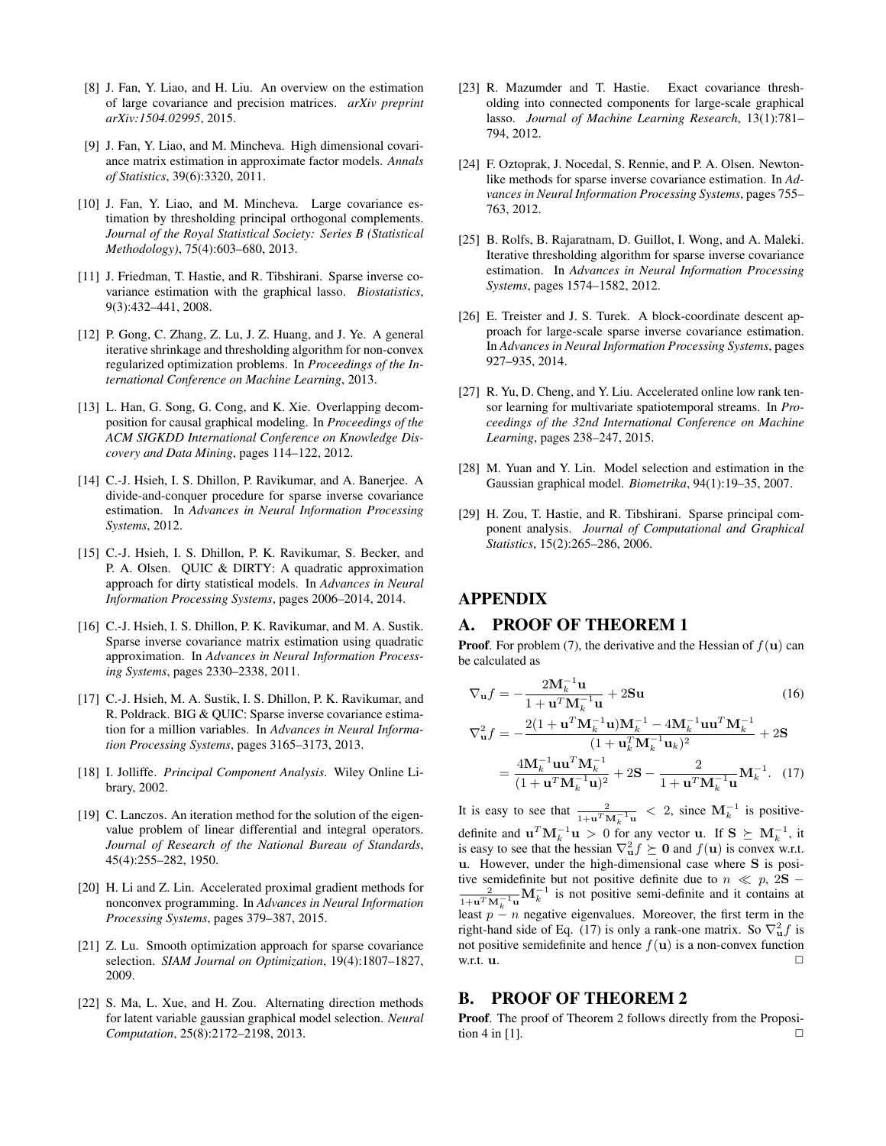- [8] J. Fan, Y. Liao, and H. Liu. An overview on the estimation of large covariance and precision matrices. *arXiv preprint arXiv:1504.02995*, 2015.
- [9] J. Fan, Y. Liao, and M. Mincheva. High dimensional covariance matrix estimation in approximate factor models. *Annals of Statistics*, 39(6):3320, 2011.
- [10] J. Fan, Y. Liao, and M. Mincheva. Large covariance estimation by thresholding principal orthogonal complements. *Journal of the Royal Statistical Society: Series B (Statistical Methodology)*, 75(4):603–680, 2013.
- [11] J. Friedman, T. Hastie, and R. Tibshirani. Sparse inverse covariance estimation with the graphical lasso. *Biostatistics*, 9(3):432–441, 2008.
- [12] P. Gong, C. Zhang, Z. Lu, J. Z. Huang, and J. Ye. A general iterative shrinkage and thresholding algorithm for non-convex regularized optimization problems. In *Proceedings of the International Conference on Machine Learning*, 2013.
- [13] L. Han, G. Song, G. Cong, and K. Xie. Overlapping decomposition for causal graphical modeling. In *Proceedings of the ACM SIGKDD International Conference on Knowledge Discovery and Data Mining*, pages 114–122, 2012.
- [14] C.-J. Hsieh, I. S. Dhillon, P. Ravikumar, and A. Banerjee. A divide-and-conquer procedure for sparse inverse covariance estimation. In *Advances in Neural Information Processing Systems*, 2012.
- [15] C.-J. Hsieh, I. S. Dhillon, P. K. Ravikumar, S. Becker, and P. A. Olsen. QUIC & DIRTY: A quadratic approximation approach for dirty statistical models. In *Advances in Neural Information Processing Systems*, pages 2006–2014, 2014.
- [16] C.-J. Hsieh, I. S. Dhillon, P. K. Ravikumar, and M. A. Sustik. Sparse inverse covariance matrix estimation using quadratic approximation. In *Advances in Neural Information Processing Systems*, pages 2330–2338, 2011.
- [17] C.-J. Hsieh, M. A. Sustik, I. S. Dhillon, P. K. Ravikumar, and R. Poldrack. BIG & QUIC: Sparse inverse covariance estimation for a million variables. In *Advances in Neural Information Processing Systems*, pages 3165–3173, 2013.
- [18] I. Jolliffe. *Principal Component Analysis*. Wiley Online Library, 2002.
- [19] C. Lanczos. An iteration method for the solution of the eigenvalue problem of linear differential and integral operators. *Journal of Research of the National Bureau of Standards*, 45(4):255–282, 1950.
- [20] H. Li and Z. Lin. Accelerated proximal gradient methods for nonconvex programming. In *Advances in Neural Information Processing Systems*, pages 379–387, 2015.
- [21] Z. Lu. Smooth optimization approach for sparse covariance selection. *SIAM Journal on Optimization*, 19(4):1807–1827, 2009.
- [22] S. Ma, L. Xue, and H. Zou. Alternating direction methods for latent variable gaussian graphical model selection. *Neural Computation*, 25(8):2172–2198, 2013.
- [23] R. Mazumder and T. Hastie. Exact covariance thresholding into connected components for large-scale graphical lasso. *Journal of Machine Learning Research*, 13(1):781– 794, 2012.
- [24] F. Oztoprak, J. Nocedal, S. Rennie, and P. A. Olsen. Newtonlike methods for sparse inverse covariance estimation. In *Advances in Neural Information Processing Systems*, pages 755– 763, 2012.
- [25] B. Rolfs, B. Rajaratnam, D. Guillot, I. Wong, and A. Maleki. Iterative thresholding algorithm for sparse inverse covariance estimation. In *Advances in Neural Information Processing Systems*, pages 1574–1582, 2012.
- [26] E. Treister and J. S. Turek. A block-coordinate descent approach for large-scale sparse inverse covariance estimation. In *Advances in Neural Information Processing Systems*, pages 927–935, 2014.
- [27] R. Yu, D. Cheng, and Y. Liu. Accelerated online low rank tensor learning for multivariate spatiotemporal streams. In *Proceedings of the 32nd International Conference on Machine Learning*, pages 238–247, 2015.
- [28] M. Yuan and Y. Lin. Model selection and estimation in the Gaussian graphical model. *Biometrika*, 94(1):19–35, 2007.
- [29] H. Zou, T. Hastie, and R. Tibshirani. Sparse principal component analysis. *Journal of Computational and Graphical Statistics*, 15(2):265–286, 2006.

# APPENDIX

# A. PROOF OF THEOREM 1

**Proof.** For problem (7), the derivative and the Hessian of  $f(\mathbf{u})$  can be calculated as

$$
\nabla_{\mathbf{u}}f = -\frac{2\mathbf{M}_k^{-1}\mathbf{u}}{1 + \mathbf{u}^T \mathbf{M}_k^{-1}\mathbf{u}} + 2\mathbf{S}\mathbf{u}
$$
 (16)

$$
\nabla_{\mathbf{u}}^2 f = -\frac{2(1 + \mathbf{u}^T \mathbf{M}_k^{-1} \mathbf{u}) \mathbf{M}_k^{-1} - 4 \mathbf{M}_k^{-1} \mathbf{u} \mathbf{u}^T \mathbf{M}_k^{-1}}{(1 + \mathbf{u}_k^T \mathbf{M}_k^{-1} \mathbf{u}_k)^2} + 2\mathbf{S}
$$
  
= 
$$
\frac{4 \mathbf{M}_k^{-1} \mathbf{u} \mathbf{u}^T \mathbf{M}_k^{-1}}{(1 + \mathbf{u}^T \mathbf{M}_k^{-1} \mathbf{u})^2} + 2\mathbf{S} - \frac{2}{1 + \mathbf{u}^T \mathbf{M}_k^{-1} \mathbf{u}} \mathbf{M}_k^{-1}.
$$
 (17)

It is easy to see that  $\frac{2}{1+\mathbf{u}^T \mathbf{M}_k^{-1} \mathbf{u}} < 2$ , since  $\mathbf{M}_k^{-1}$  is positivedefinite and  $\mathbf{u}^T \mathbf{M}_k^{-1} \mathbf{u} > 0$  for any vector **u**. If  $\mathbf{S} \succeq \mathbf{M}_k^{-1}$ , it is easy to see that the hessian  $\nabla_u^2 f \succeq 0$  and  $f(u)$  is convex w.r.t. u. However, under the high-dimensional case where S is positive semidefinite but not positive definite due to  $n \ll p$ , 2S –  $\frac{2}{1+\mathbf{u}^T \mathbf{M}_k^{-1} \mathbf{u}} \mathbf{M}_k^{-1}$  is not positive semi-definite and it contains at least  $p - n$  negative eigenvalues. Moreover, the first term in the right-hand side of Eq. (17) is only a rank-one matrix. So  $\nabla_u^2 f$  is not positive semidefinite and hence  $f(\mathbf{u})$  is a non-convex function w.r.t.  $\mathbf{u}$ .

# B. PROOF OF THEOREM 2

Proof. The proof of Theorem 2 follows directly from the Proposition 4 in [1].  $\Box$